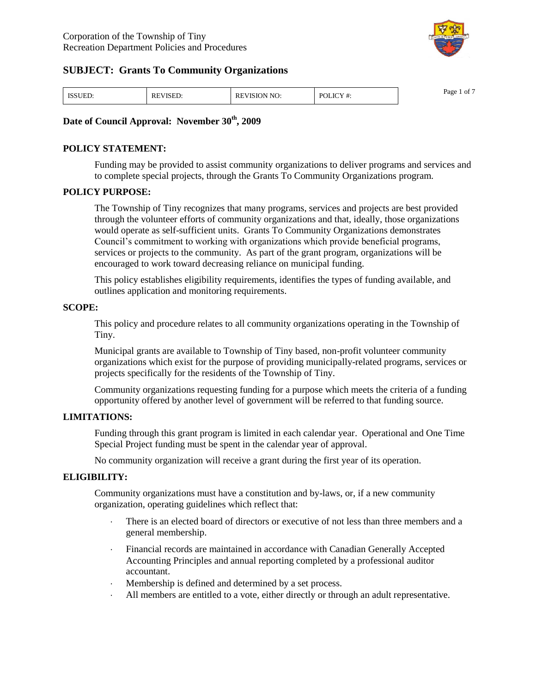

| <b>ISSUED.</b> | "VISED:<br>RE | PEVISION NO: | $POLICY +$ | $\sim$ $-$<br>Page<br>ΟĪ |
|----------------|---------------|--------------|------------|--------------------------|
|----------------|---------------|--------------|------------|--------------------------|

#### **Date of Council Approval: November 30th, 2009**

#### **POLICY STATEMENT:**

Funding may be provided to assist community organizations to deliver programs and services and to complete special projects, through the Grants To Community Organizations program.

#### **POLICY PURPOSE:**

The Township of Tiny recognizes that many programs, services and projects are best provided through the volunteer efforts of community organizations and that, ideally, those organizations would operate as self-sufficient units. Grants To Community Organizations demonstrates Council's commitment to working with organizations which provide beneficial programs, services or projects to the community. As part of the grant program, organizations will be encouraged to work toward decreasing reliance on municipal funding.

This policy establishes eligibility requirements, identifies the types of funding available, and outlines application and monitoring requirements.

#### **SCOPE:**

This policy and procedure relates to all community organizations operating in the Township of Tiny.

Municipal grants are available to Township of Tiny based, non-profit volunteer community organizations which exist for the purpose of providing municipally-related programs, services or projects specifically for the residents of the Township of Tiny.

Community organizations requesting funding for a purpose which meets the criteria of a funding opportunity offered by another level of government will be referred to that funding source.

#### **LIMITATIONS:**

Funding through this grant program is limited in each calendar year. Operational and One Time Special Project funding must be spent in the calendar year of approval.

No community organization will receive a grant during the first year of its operation.

#### **ELIGIBILITY:**

Community organizations must have a constitution and by-laws, or, if a new community organization, operating guidelines which reflect that:

- There is an elected board of directors or executive of not less than three members and a general membership.
- Financial records are maintained in accordance with Canadian Generally Accepted Accounting Principles and annual reporting completed by a professional auditor accountant.
- Membership is defined and determined by a set process.
- All members are entitled to a vote, either directly or through an adult representative.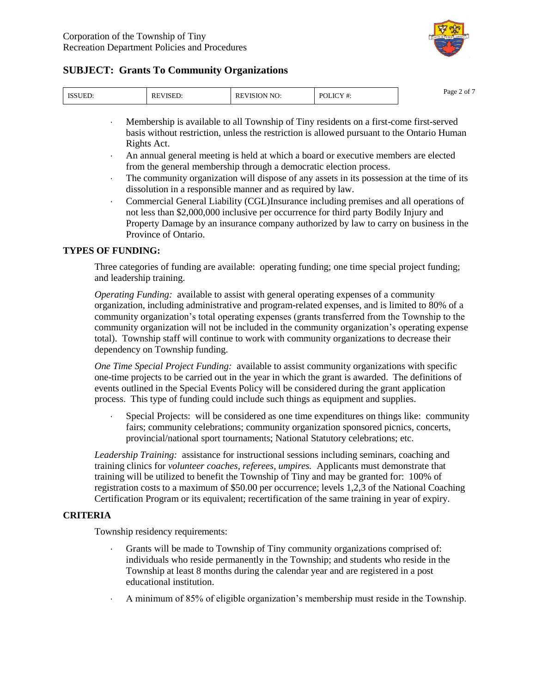

|  | K. | $\mathbf{v}$<br>NI | DC<br>и | Page<br>' ot |
|--|----|--------------------|---------|--------------|
|--|----|--------------------|---------|--------------|

- Membership is available to all Township of Tiny residents on a first-come first-served basis without restriction, unless the restriction is allowed pursuant to the Ontario Human Rights Act.
- An annual general meeting is held at which a board or executive members are elected from the general membership through a democratic election process.
- The community organization will dispose of any assets in its possession at the time of its dissolution in a responsible manner and as required by law.
- Commercial General Liability (CGL)Insurance including premises and all operations of not less than \$2,000,000 inclusive per occurrence for third party Bodily Injury and Property Damage by an insurance company authorized by law to carry on business in the Province of Ontario.

### **TYPES OF FUNDING:**

Three categories of funding are available: operating funding; one time special project funding; and leadership training.

*Operating Funding:* available to assist with general operating expenses of a community organization, including administrative and program-related expenses, and is limited to 80% of a community organization's total operating expenses (grants transferred from the Township to the community organization will not be included in the community organization's operating expense total). Township staff will continue to work with community organizations to decrease their dependency on Township funding.

*One Time Special Project Funding:* available to assist community organizations with specific one-time projects to be carried out in the year in which the grant is awarded. The definitions of events outlined in the Special Events Policy will be considered during the grant application process. This type of funding could include such things as equipment and supplies.

 Special Projects: will be considered as one time expenditures on things like: community fairs; community celebrations; community organization sponsored picnics, concerts, provincial/national sport tournaments; National Statutory celebrations; etc.

*Leadership Training:* assistance for instructional sessions including seminars, coaching and training clinics for *volunteer coaches, referees, umpires.* Applicants must demonstrate that training will be utilized to benefit the Township of Tiny and may be granted for: 100% of registration costs to a maximum of \$50.00 per occurrence; levels 1,2,3 of the National Coaching Certification Program or its equivalent; recertification of the same training in year of expiry.

# **CRITERIA**

Township residency requirements:

- Grants will be made to Township of Tiny community organizations comprised of: individuals who reside permanently in the Township; and students who reside in the Township at least 8 months during the calendar year and are registered in a post educational institution.
- A minimum of 85% of eligible organization's membership must reside in the Township.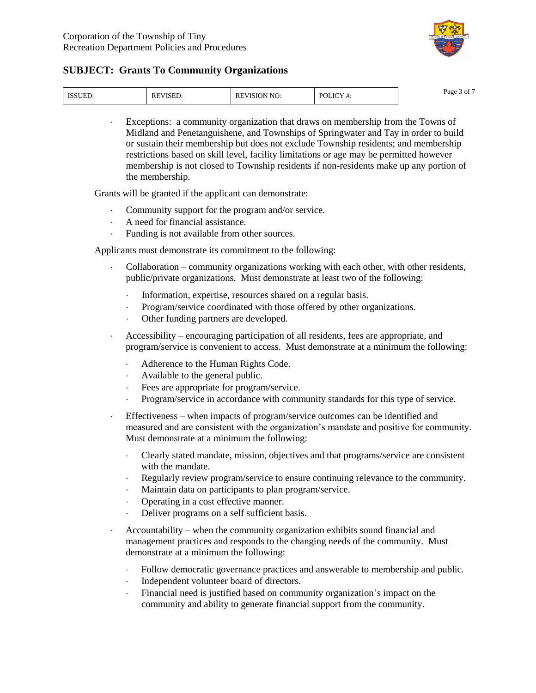

| TCT<br>ாயக | $  -$<br>КF<br>برنديد | ™NO.<br>$\mathbf{N}$<br>ĸс<br>൸ | P∩ì<br>OLIC<br>ι π. | $\sim$ $-$<br>Page<br>OI.<br>-- |
|------------|-----------------------|---------------------------------|---------------------|---------------------------------|
|------------|-----------------------|---------------------------------|---------------------|---------------------------------|

 Exceptions: a community organization that draws on membership from the Towns of Midland and Penetanguishene, and Townships of Springwater and Tay in order to build or sustain their membership but does not exclude Township residents; and membership restrictions based on skill level, facility limitations or age may be permitted however membership is not closed to Township residents if non-residents make up any portion of the membership.

Grants will be granted if the applicant can demonstrate:

- Community support for the program and/or service.
- A need for financial assistance.
- Funding is not available from other sources.

Applicants must demonstrate its commitment to the following:

- Collaboration –community organizations working with each other, with other residents, public/private organizations. Must demonstrate at least two of the following:
	- Information, expertise, resources shared on a regular basis.
	- Program/service coordinated with those offered by other organizations.
	- Other funding partners are developed.
- Accessibility –encouraging participation of all residents, fees are appropriate, and program/service is convenient to access. Must demonstrate at a minimum the following:
	- Adherence to the Human Rights Code.
	- Available to the general public.
	- Fees are appropriate for program/service.
	- Program/service in accordance with community standards for this type of service.
- Effectiveness –when impacts of program/service outcomes can be identified and measured and are consistent with the organization's mandate and positive for community. Must demonstrate at a minimum the following:
	- Clearly stated mandate, mission, objectives and that programs/service are consistent with the mandate.
	- Regularly review program/service to ensure continuing relevance to the community.
	- Maintain data on participants to plan program/service.
	- Operating in a cost effective manner.
	- Deliver programs on a self sufficient basis.
- Accountability –when the community organization exhibits sound financial and management practices and responds to the changing needs of the community. Must demonstrate at a minimum the following:
	- Follow democratic governance practices and answerable to membership and public.
	- Independent volunteer board of directors.
	- Financial need is justified based on community organization's impact on the community and ability to generate financial support from the community.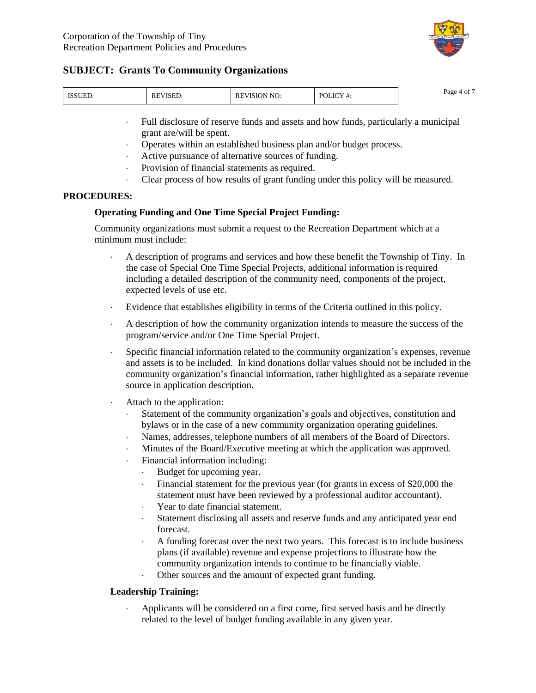

| <b>TCCLIEF</b><br>NUED. | <sup>-</sup> VISED.<br>RЕ | N NO<br>REVISION | <b>JLICY</b><br>P∩l<br>1 #. | $\sim$ $-$<br>Page<br>$^{\circ}$ O1 $^{\circ}$ |
|-------------------------|---------------------------|------------------|-----------------------------|------------------------------------------------|
|-------------------------|---------------------------|------------------|-----------------------------|------------------------------------------------|

- Full disclosure of reserve funds and assets and how funds, particularly a municipal grant are/will be spent.
- Operates within an established business plan and/or budget process.
- Active pursuance of alternative sources of funding.
- Provision of financial statements as required.
- Clear process of how results of grant funding under this policy will be measured.

### **PROCEDURES:**

### **Operating Funding and One Time Special Project Funding:**

Community organizations must submit a request to the Recreation Department which at a minimum must include:

- A description of programs and services and how these benefit the Township of Tiny. In the case of Special One Time Special Projects, additional information is required including a detailed description of the community need, components of the project, expected levels of use etc.
- Evidence that establishes eligibility in terms of the Criteria outlined in this policy.
- A description of how the community organization intends to measure the success of the program/service and/or One Time Special Project.
- Specific financial information related to the community organization's expenses, revenue and assets is to be included. In kind donations dollar values should not be included in the community organization'sfinancial information, rather highlighted as a separate revenue source in application description.
- Attach to the application:
	- Statement of the community organization's goals and objectives, constitution and bylaws or in the case of a new community organization operating guidelines.
	- Names, addresses, telephone numbers of all members of the Board of Directors.
	- Minutes of the Board/Executive meeting at which the application was approved.
	- Financial information including:
		- Budget for upcoming year.
		- Financial statement for the previous year (for grants in excess of \$20,000 the statement must have been reviewed by a professional auditor accountant).
		- Year to date financial statement.
		- Statement disclosing all assets and reserve funds and any anticipated year end forecast.
		- A funding forecast over the next two years. This forecast is to include business plans (if available) revenue and expense projections to illustrate how the community organization intends to continue to be financially viable.
		- Other sources and the amount of expected grant funding.

# **Leadership Training:**

 Applicants will be considered on a first come, first served basis and be directly related to the level of budget funding available in any given year.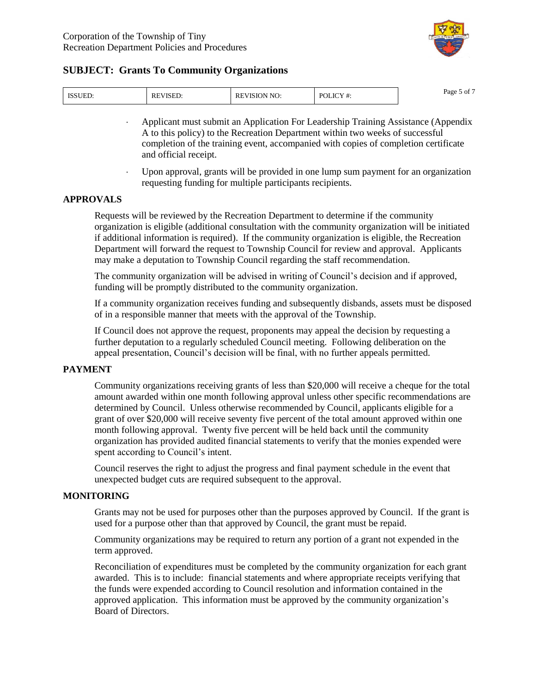

| <b>ISSUED:</b> | <sup>-</sup> VISED.<br>RE | <b>EVISION NO:</b><br>RE. | JLICV<br>P∩I<br>ι π. | $\sim$ $-$<br>Page 5<br>or ( |
|----------------|---------------------------|---------------------------|----------------------|------------------------------|
|----------------|---------------------------|---------------------------|----------------------|------------------------------|

- Applicant must submit an Application For Leadership Training Assistance (Appendix A to this policy) to the Recreation Department within two weeks of successful completion of the training event, accompanied with copies of completion certificate and official receipt.
- Upon approval, grants will be provided in one lump sum payment for an organization requesting funding for multiple participants recipients.

#### **APPROVALS**

Requests will be reviewed by the Recreation Department to determine if the community organization is eligible (additional consultation with the community organization will be initiated if additional information is required). If the community organization is eligible, the Recreation Department will forward the request to Township Council for review and approval. Applicants may make a deputation to Township Council regarding the staff recommendation.

The community organization will be advised in writing of Council's decision and if approved, funding will be promptly distributed to the community organization.

If a community organization receives funding and subsequently disbands, assets must be disposed of in a responsible manner that meets with the approval of the Township.

If Council does not approve the request, proponents may appeal the decision by requesting a further deputation to a regularly scheduled Council meeting. Following deliberation on the appeal presentation, Council's decision will be final, with no further appeals permitted.

#### **PAYMENT**

Community organizations receiving grants of less than \$20,000 will receive a cheque for the total amount awarded within one month following approval unless other specific recommendations are determined by Council. Unless otherwise recommended by Council, applicants eligible for a grant of over \$20,000 will receive seventy five percent of the total amount approved within one month following approval. Twenty five percent will be held back until the community organization has provided audited financial statements to verify that the monies expended were spent according to Council's intent.

Council reserves the right to adjust the progress and final payment schedule in the event that unexpected budget cuts are required subsequent to the approval.

#### **MONITORING**

Grants may not be used for purposes other than the purposes approved by Council. If the grant is used for a purpose other than that approved by Council, the grant must be repaid.

Community organizations may be required to return any portion of a grant not expended in the term approved.

Reconciliation of expenditures must be completed by the community organization for each grant awarded. This is to include: financial statements and where appropriate receipts verifying that the funds were expended according to Council resolution and information contained in the approved application. This information must be approved by the community organization's Board of Directors.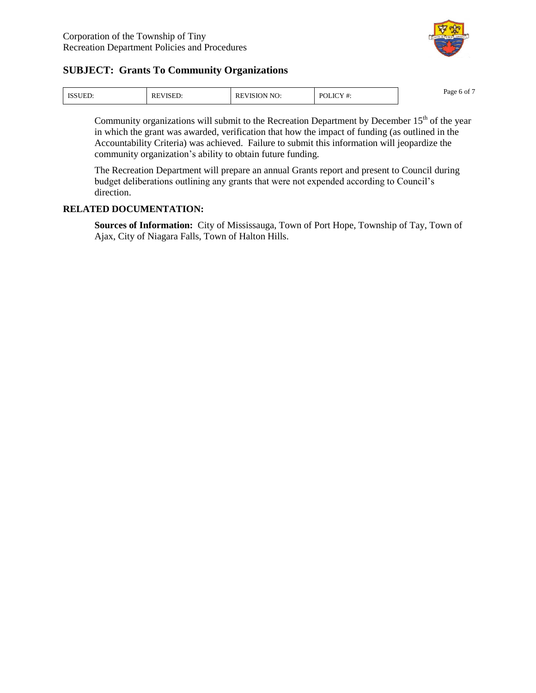

| <b>ISSUED.</b> | <b>REVISED:</b> | <b>IVISION NO:</b><br>re | POLICY #:<br>ι π. | $\sim$ $-$<br>Page<br>0 OI |
|----------------|-----------------|--------------------------|-------------------|----------------------------|
|----------------|-----------------|--------------------------|-------------------|----------------------------|

Community organizations will submit to the Recreation Department by December  $15<sup>th</sup>$  of the year in which the grant was awarded, verification that how the impact of funding (as outlined in the Accountability Criteria) was achieved. Failure to submit this information will jeopardize the community organization's ability to obtain future funding.

The Recreation Department will prepare an annual Grants report and present to Council during budget deliberations outlining any grants that were not expended according to Council's direction.

### **RELATED DOCUMENTATION:**

**Sources of Information:** City of Mississauga, Town of Port Hope, Township of Tay, Town of Ajax, City of Niagara Falls, Town of Halton Hills.